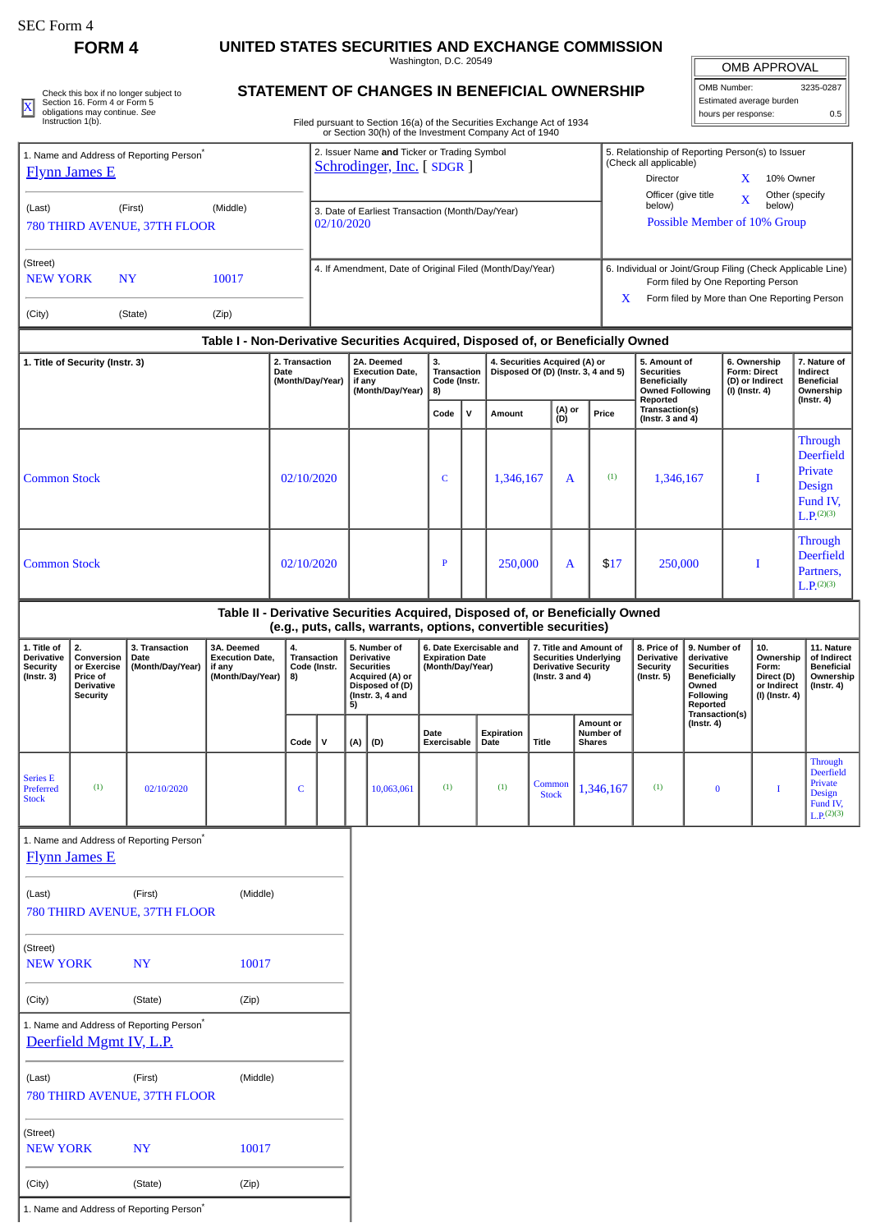| EC Form : |
|-----------|
|-----------|

**FORM 4 UNITED STATES SECURITIES AND EXCHANGE COMMISSION**

Washington, D.C. 20549

OMB APPROVAL OMB Number: 3235-0287 Estimated average burden

5. Relationship of Reporting Person(s) to Issuer

(Check all applicable)

|  | Check this box if no longer subject to<br>Section 16, Form 4 or Form 5 | STATEMENT OF CHANGES IN BENEFICIAL OWNERSHIP                           | 'I OMB Number:<br>Estimated average burden | 3235-0287 |
|--|------------------------------------------------------------------------|------------------------------------------------------------------------|--------------------------------------------|-----------|
|  | obligations may continue. See<br>Instruction 1(b).                     | Filed pursuant to Section 16(a) of the Securities Exchange Act of 1934 | hours per response:                        |           |
|  |                                                                        | or Section 30(h) of the Investment Company Act of 1940                 |                                            |           |

1. Name and Address of Reporting Person\*

## **STATEMENT OF CHANGES IN BENEFICIAL OWNERSHIP**

Filed pursuant to Section 16(a) of the Securities Exchange Act of 1934 or Section 30(h) of the Investment Company Act of 1940

2. Issuer Name **and** Ticker or Trading Symbol [Schrodinger, Inc.](http://www.sec.gov/cgi-bin/browse-edgar?action=getcompany&CIK=0001490978) [SDGR]

|                                                                  | <b>Flynn James E</b>                                                         |                                                      |                                                                                  |                                            |                                                                |                                                                    |     | <b>Schrodinger, Inc.</b> [SDGR ]                                                                            |                                                                       |                                    |                    |                                                                                                                                                   |                        |                                                | (Crieck all applicable)<br>Director                                                            |                                                                                                          | X                                                                          | 10% Owner                                                                       |                                                                                                 |
|------------------------------------------------------------------|------------------------------------------------------------------------------|------------------------------------------------------|----------------------------------------------------------------------------------|--------------------------------------------|----------------------------------------------------------------|--------------------------------------------------------------------|-----|-------------------------------------------------------------------------------------------------------------|-----------------------------------------------------------------------|------------------------------------|--------------------|---------------------------------------------------------------------------------------------------------------------------------------------------|------------------------|------------------------------------------------|------------------------------------------------------------------------------------------------|----------------------------------------------------------------------------------------------------------|----------------------------------------------------------------------------|---------------------------------------------------------------------------------|-------------------------------------------------------------------------------------------------|
| (Last)<br>(First)<br>(Middle)<br>780 THIRD AVENUE, 37TH FLOOR    |                                                                              |                                                      |                                                                                  |                                            | 3. Date of Earliest Transaction (Month/Day/Year)<br>02/10/2020 |                                                                    |     |                                                                                                             |                                                                       |                                    |                    | Officer (give title<br>Other (specify<br>$\mathbf X$<br>below)<br>below)<br>Possible Member of 10% Group                                          |                        |                                                |                                                                                                |                                                                                                          |                                                                            |                                                                                 |                                                                                                 |
| (Street)<br><b>NEW YORK</b><br><b>NY</b><br>10017                |                                                                              |                                                      |                                                                                  |                                            | 4. If Amendment, Date of Original Filed (Month/Day/Year)       |                                                                    |     |                                                                                                             |                                                                       |                                    |                    | 6. Individual or Joint/Group Filing (Check Applicable Line)<br>Form filed by One Reporting Person<br>Form filed by More than One Reporting Person |                        |                                                |                                                                                                |                                                                                                          |                                                                            |                                                                                 |                                                                                                 |
| (City)                                                           |                                                                              | (State)                                              | (Zip)                                                                            |                                            |                                                                |                                                                    |     |                                                                                                             |                                                                       |                                    |                    |                                                                                                                                                   |                        | X                                              |                                                                                                |                                                                                                          |                                                                            |                                                                                 |                                                                                                 |
|                                                                  |                                                                              |                                                      | Table I - Non-Derivative Securities Acquired, Disposed of, or Beneficially Owned |                                            |                                                                |                                                                    |     |                                                                                                             |                                                                       |                                    |                    |                                                                                                                                                   |                        |                                                |                                                                                                |                                                                                                          |                                                                            |                                                                                 |                                                                                                 |
|                                                                  | 1. Title of Security (Instr. 3)                                              |                                                      |                                                                                  | 2. Transaction<br>Date<br>(Month/Day/Year) |                                                                | 2A. Deemed<br><b>Execution Date,</b><br>if any<br>(Month/Day/Year) |     |                                                                                                             | 3.<br>8)                                                              | <b>Transaction</b><br>Code (Instr. |                    | 4. Securities Acquired (A) or<br>Disposed Of (D) (Instr. 3, 4 and 5)                                                                              |                        |                                                | 5. Amount of<br><b>Securities</b><br><b>Beneficially</b><br><b>Owned Following</b><br>Reported |                                                                                                          | 6. Ownership<br><b>Form: Direct</b><br>(D) or Indirect<br>$(I)$ (Instr. 4) |                                                                                 | 7. Nature of<br>Indirect<br><b>Beneficial</b><br>Ownership<br>(Instr. 4)                        |
|                                                                  |                                                                              |                                                      |                                                                                  |                                            |                                                                |                                                                    |     |                                                                                                             | Code                                                                  | v                                  | Amount             |                                                                                                                                                   | (A) or<br>(D)          | Price                                          | Transaction(s)<br>(Instr. $3$ and $4$ )                                                        |                                                                                                          |                                                                            |                                                                                 |                                                                                                 |
| <b>Common Stock</b><br>02/10/2020                                |                                                                              |                                                      |                                                                                  |                                            |                                                                |                                                                    |     | C                                                                                                           |                                                                       | 1,346,167                          |                    | A                                                                                                                                                 | (1)                    | 1,346,167                                      |                                                                                                | I                                                                                                        |                                                                            | Through<br><b>Deerfield</b><br>Private<br>Design<br>Fund IV.<br>$L.P.^{(2)(3)}$ |                                                                                                 |
| <b>Common Stock</b>                                              |                                                                              |                                                      |                                                                                  | 02/10/2020                                 |                                                                | $\mathbf{P}$                                                       |     | 250,000                                                                                                     |                                                                       | A                                  | \$17               | 250,000                                                                                                                                           |                        |                                                | I                                                                                              | Through<br><b>Deerfield</b><br>Partners,<br>$L.P.^{(2)(3)}$                                              |                                                                            |                                                                                 |                                                                                                 |
|                                                                  |                                                                              |                                                      | Table II - Derivative Securities Acquired, Disposed of, or Beneficially Owned    |                                            |                                                                |                                                                    |     | (e.g., puts, calls, warrants, options, convertible securities)                                              |                                                                       |                                    |                    |                                                                                                                                                   |                        |                                                |                                                                                                |                                                                                                          |                                                                            |                                                                                 |                                                                                                 |
| 1. Title of<br>Derivative<br><b>Security</b><br>$($ Instr. 3 $)$ | 2.<br>Conversion<br>or Exercise<br>Price of<br>Derivative<br><b>Security</b> | 3. Transaction<br>Date<br>(Month/Day/Year)           | 3A. Deemed<br><b>Execution Date,</b><br>if any<br>(Month/Day/Year)               | 4.<br>8)                                   | Transaction<br>Code (Instr.                                    |                                                                    | 5)  | 5. Number of<br>Derivative<br><b>Securities</b><br>Acquired (A) or<br>Disposed of (D)<br>(Instr. $3, 4$ and | 6. Date Exercisable and<br><b>Expiration Date</b><br>(Month/Day/Year) |                                    |                    | 7. Title and Amount of<br><b>Securities Underlying</b><br><b>Derivative Security</b><br>(Instr. $3$ and $4$ )                                     |                        |                                                | 8. Price of<br>Derivative<br>Security<br>$($ Instr. 5 $)$                                      | 9. Number of<br>derivative<br><b>Securities</b><br><b>Beneficially</b><br>Owned<br>Following<br>Reported | 10.<br>Form:                                                               | Ownership<br>Direct (D)<br>or Indirect<br>$(I)$ (Instr. 4)                      | 11. Nature<br>of Indirect<br><b>Beneficial</b><br>Ownership<br>$($ lnstr. 4 $)$                 |
|                                                                  |                                                                              |                                                      |                                                                                  | Code                                       | V                                                              |                                                                    | (A) | (D)                                                                                                         | Date<br>Exercisable                                                   |                                    | Expiration<br>Date | <b>Title</b>                                                                                                                                      |                        | <b>Amount or</b><br>Number of<br><b>Shares</b> |                                                                                                | Transaction(s)<br>$($ Instr. 4 $)$                                                                       |                                                                            |                                                                                 |                                                                                                 |
| <b>Series E</b><br>Preferred<br><b>Stock</b>                     | (1)                                                                          | 02/10/2020                                           |                                                                                  | C                                          |                                                                |                                                                    |     | 10,063,061                                                                                                  | (1)                                                                   |                                    | (1)                |                                                                                                                                                   | Common<br><b>Stock</b> | 1,346,167                                      | (1)                                                                                            | $\bf{0}$                                                                                                 |                                                                            | I                                                                               | <b>Through</b><br><b>Deerfield</b><br>Private<br>Design<br>Fund IV,<br>$L.P.$ <sup>(2)(3)</sup> |
|                                                                  | <b>Flynn James E</b>                                                         | 1. Name and Address of Reporting Person <sup>*</sup> |                                                                                  |                                            |                                                                |                                                                    |     |                                                                                                             |                                                                       |                                    |                    |                                                                                                                                                   |                        |                                                |                                                                                                |                                                                                                          |                                                                            |                                                                                 |                                                                                                 |
| (Last)                                                           |                                                                              | (First)<br>780 THIRD AVENUE, 37TH FLOOR              | (Middle)                                                                         |                                            |                                                                |                                                                    |     |                                                                                                             |                                                                       |                                    |                    |                                                                                                                                                   |                        |                                                |                                                                                                |                                                                                                          |                                                                            |                                                                                 |                                                                                                 |
| (Street)<br><b>NEW YORK</b>                                      |                                                                              | <b>NY</b>                                            | 10017                                                                            |                                            |                                                                |                                                                    |     |                                                                                                             |                                                                       |                                    |                    |                                                                                                                                                   |                        |                                                |                                                                                                |                                                                                                          |                                                                            |                                                                                 |                                                                                                 |
| (City)                                                           |                                                                              | (State)                                              | (Zip)                                                                            |                                            |                                                                |                                                                    |     |                                                                                                             |                                                                       |                                    |                    |                                                                                                                                                   |                        |                                                |                                                                                                |                                                                                                          |                                                                            |                                                                                 |                                                                                                 |
|                                                                  | Deerfield Mgmt IV, L.P.                                                      | 1. Name and Address of Reporting Person <sup>*</sup> |                                                                                  |                                            |                                                                |                                                                    |     |                                                                                                             |                                                                       |                                    |                    |                                                                                                                                                   |                        |                                                |                                                                                                |                                                                                                          |                                                                            |                                                                                 |                                                                                                 |
| (Last)                                                           |                                                                              | (First)<br>780 THIRD AVENUE, 37TH FLOOR              | (Middle)                                                                         |                                            |                                                                |                                                                    |     |                                                                                                             |                                                                       |                                    |                    |                                                                                                                                                   |                        |                                                |                                                                                                |                                                                                                          |                                                                            |                                                                                 |                                                                                                 |
| (Street)<br><b>NEW YORK</b>                                      |                                                                              | <b>NY</b>                                            | 10017                                                                            |                                            |                                                                |                                                                    |     |                                                                                                             |                                                                       |                                    |                    |                                                                                                                                                   |                        |                                                |                                                                                                |                                                                                                          |                                                                            |                                                                                 |                                                                                                 |

(City) (State) (Zip)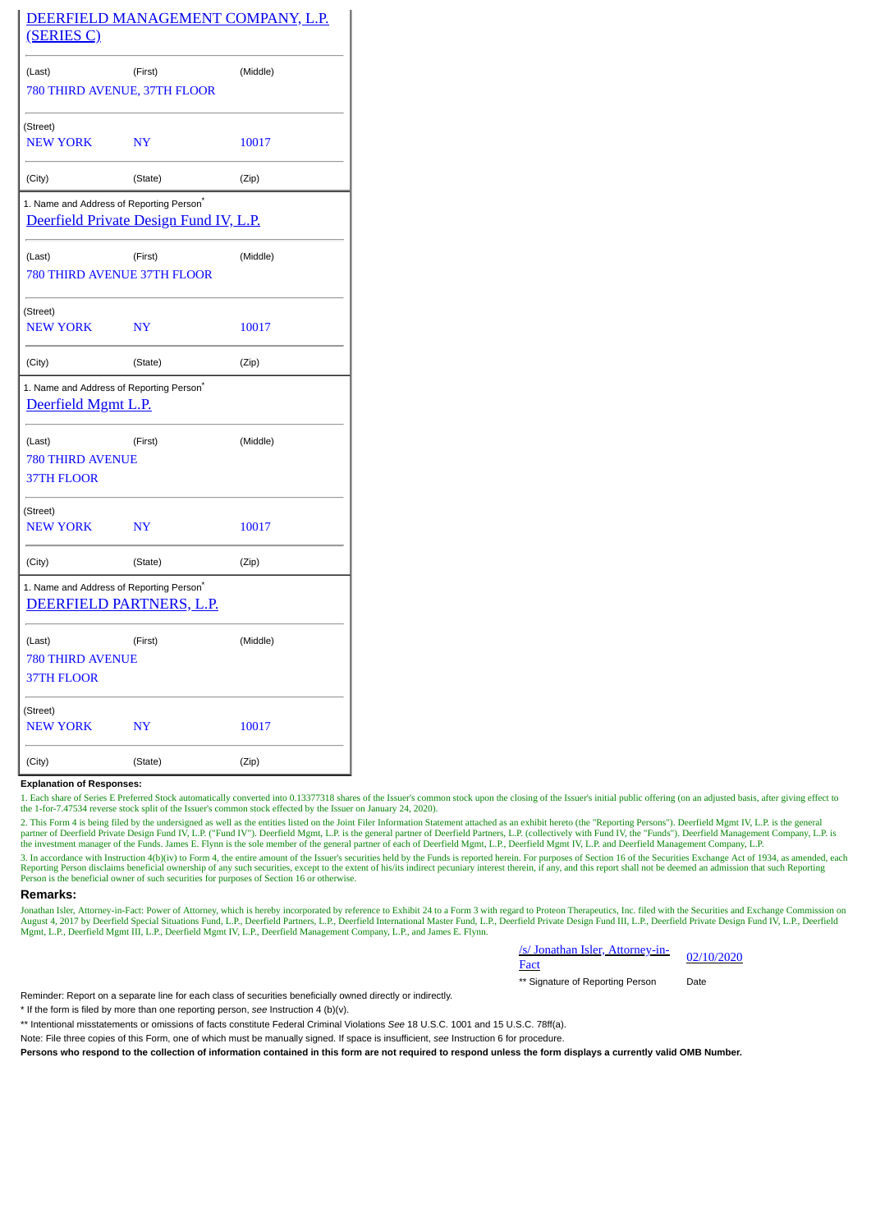|                                                        |                                                                                                | DEERFIELD MANAGEMENT COMPANY, L.P. |
|--------------------------------------------------------|------------------------------------------------------------------------------------------------|------------------------------------|
| (SERIES C)                                             |                                                                                                |                                    |
| (Last)                                                 | (First)<br>780 THIRD AVENUE, 37TH FLOOR                                                        | (Middle)                           |
| (Street)<br><b>NEW YORK</b>                            | <b>NY</b>                                                                                      | 10017                              |
| (City)                                                 | (State)                                                                                        | (Zip)                              |
|                                                        | 1. Name and Address of Reporting Person <sup>*</sup><br>Deerfield Private Design Fund IV, L.P. |                                    |
| (Last)                                                 | (First)<br>780 THIRD AVENUE 37TH FLOOR                                                         | (Middle)                           |
| (Street)<br>NEW YORK                                   | NY                                                                                             | 10017                              |
| (City)                                                 | (State)                                                                                        | (Zip)                              |
| Deerfield Mgmt L.P.                                    | 1. Name and Address of Reporting Person <sup>®</sup>                                           |                                    |
| (Last)<br><b>780 THIRD AVENUE</b><br><b>37TH FLOOR</b> | (First)                                                                                        | (Middle)                           |
| (Street)<br><b>NEW YORK</b>                            | NY                                                                                             | 10017                              |
| (City)                                                 | (State)                                                                                        | (Zip)                              |
|                                                        | 1. Name and Address of Reporting Person <sup>*</sup><br>DEERFIELD PARTNERS, L.P.               |                                    |
| (Last)<br><b>780 THIRD AVENUE</b><br>37TH FLOOR        | (First)                                                                                        | (Middle)                           |
| (Street)<br><b>NEW YORK</b>                            | NY                                                                                             | 10017                              |
| (City)                                                 | (State)                                                                                        | (Zip)                              |

## **Explanation of Responses:**

1. Each share of Series E Preferred Stock automatically converted into 0.13377318 shares of the Issuer's common stock upon the closing of the Issuer's initial public offering (on an adjusted basis, after giving effect to the 1-for-7.47534 reverse stock split of the Issuer's common stock effected by the Issuer on January 24, 2020).

2. This Form 4 is being filed by the undersigned as well as the entities listed on the Joint Filer Information Statement attached as an exhibit hereto (the "Reporting Persons"). Deerfield Mgmt IV, L.P. is the general<br>partn the investment manager of the Funds. James E. Flynn is the sole member of the general partner of each of Deerfield Mgmt, L.P., Deerfield Mgmt IV, L.P. and Deerfield Management Company, L.P.

3. In accordance with Instruction 4(b)(iv) to Form 4, the entire amount of the Issuer's securities held by the Funds is reported herein. For purposes of Section 16 of the Securities Exchange Act of 1934, as amended, each<br>R Person is the beneficial owner of such securities for purposes of Section 16 or otherwise.

## **Remarks:**

Jonathan Isler, Attorney-in-Fact: Power of Attorney, which is hereby incorporated by reference to Exhibit 24 to a Form 3 with regard to Proteon Therapeutics, Inc. filed with the Securities and Exchange Commission on<br>August

| /s/ Jonathan Isler, Attorney-in- | 02/10/2020 |  |  |  |  |
|----------------------------------|------------|--|--|--|--|
| Fact                             |            |  |  |  |  |
| ** Signature of Reporting Person | Date       |  |  |  |  |

Reminder: Report on a separate line for each class of securities beneficially owned directly or indirectly.

\* If the form is filed by more than one reporting person, *see* Instruction 4 (b)(v).

\*\* Intentional misstatements or omissions of facts constitute Federal Criminal Violations *See* 18 U.S.C. 1001 and 15 U.S.C. 78ff(a).

Note: File three copies of this Form, one of which must be manually signed. If space is insufficient, *see* Instruction 6 for procedure.

**Persons who respond to the collection of information contained in this form are not required to respond unless the form displays a currently valid OMB Number.**